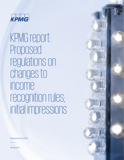

KPMG report: Proposed regulations on changes to income recognition rules; initial impressions

September 6, 2019

kpmg.com

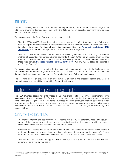## Introduction

The U.S. Treasury Department and the IRS on September 5, 2019, issued proposed regulations addressing amendments made to section 451 by the 2017 tax reform legislation commonly referred to as the "Tax Cuts and Jobs Act" (TCJA).

The guidance takes the form of two sets of proposed regulations.

- The first (REG-104870-18) provides guidance regarding section 451(b), amending the "all events test" to require certain taxpayers to recognize income no later than the tax year in which the amount is included in revenue for financial accounting purposes. Read the **[Proposed regulations \(REG-](https://www.govinfo.gov/content/pkg/FR-2019-09-09/pdf/2019-19325.pdf)[104870-18\)](https://www.govinfo.gov/content/pkg/FR-2019-09-09/pdf/2019-19325.pdf)** [PDF 446 KB] (20 pages as published in the Federal Register)
- The second (REG-104554-18) provides guidance regarding section 451(c), codifying the deferral method of accounting for certain advance payments. Section 451(c), as amended, largely codifies Rev. Proc. 2004-34, with which many taxpayers are already familiar, but makes certain changes to those rules as well. **[Proposed regulations \(REG-104554-18\)](https://www.govinfo.gov/content/pkg/FR-2019-09-09/pdf/2019-19197.pdf)** [PDF 446 KB] (17 pages as published in the Federal Register)

The guidance is proposed to be effective for tax years beginning on or after the date the final regulations are published in the Federal Register, except in the case of specified fees, for which there is a one-year deferral. Each proposed regulation may be "early adopted" on an "all or nothing" basis.

The following discussion provides a high-level summary of each of the proposed regulations. A more comprehensive analysis will be provided in a future KPMG report.

## Section 451(b): AFS income inclusion rule

The TCJA amended section 451(b) to impose a one-directional book-tax conformity requirement upon the recognition of gross income for federal tax purposes. Importantly, this requirement potentially **accelerates** the recognition of income for tax purposes when the taxpayer's financial statements report revenue sooner than the all-events test would otherwise require, but cannot be used to **defer** income recognition to a year later than that in which the income would have been recognized without regard to section 451(b).

## Summary of Prop. Reg. §1.451-3

- The proposed regulations establish the "AFS income inclusion rule," potentially accelerating (but not deferring) the time when the all events test is satisfied based on the manner in which revenue is included in a taxpayer's applicable financial statement (AFS).
- Under the AFS income inclusion rule, the all events test with respect to an item of gross income is met upon the earlier of (i) when the item is taken into account as revenue on the taxpayer's AFS, or (ii) when the item would have been recognized as income under the traditional all events test.
- The AFS income inclusion rule applies only to taxpayers having an AFS for the entire tax year, determined on a year-by-year basis.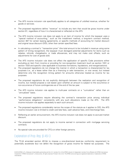- The AFS income inclusion rule specifically applies to all categories of unbilled revenue, whether for goods or services.
- The proposed regulations define "revenue" to include any item that would be gross income under section 61, regardless of how it is characterized or reflected on the AFS.
- The AFS income inclusion rule does not apply to an item of income for which the taxpayer uses a "special method of accounting," such as the installment method, a long-term contract method, section 467 for certain leasing agreements, or specific methods of accounting for market discount and original issue discount (OID), other than certain specified fees.
- In calculating a contract's "transaction price" (the total amount to be included in revenue using some pattern of timing recognition), the taxpayer must disregard potential adjustments for items such as rebates, refunds, chargebacks, or trade allowances, and may not make cost offsets, such as adjustments for cost of goods sold.
- The AFS income inclusion rule does not affect the application of specific Code provisions either excluding an item from income or providing for non-recognition treatment (such as section 1031 or section 1033 and specific rules applicable to business formations, liquidations, and reorganizations).
- The proposed regulations do not change the manner in which a transaction is characterized for tax purposes (i.e., as a lease rather than as a financing or sale transaction, or vice versa), but instead determine only the recognition timing pattern for amounts otherwise treated as income for tax purposes.
- The proposed regulations do not explicitly distinguish between the realization and recognition of income, but instead propose a rule based upon whether an amount is subject to the occurrence or non-occurrence of future contingencies as of the end of the tax year.
- The AFS income inclusion rule applies to multi-year contracts on a "cumulative" rather than an "annualized" basis.
- The proposed regulations require allocating the contract's transaction price among individual "performance obligations" consistently with any such allocations made on the AFS. The AFS income inclusion rule applies separately to each such amount.
- The proposed regulations considerably narrow the scope of the statute as it applies to OID; the AFS income inclusion rule is limited to credit card late fees, cash advance fees, and interchange fees.
- Reflecting an earlier announcement, the AFS income inclusion rule does not apply to accrued market discount.
- The proposed regulations do not apply to income earned in connection with mortgage servicing contracts.
- No special rules are provided for CFCs or other foreign persons.

## Explanation of Prop. Reg. §1.451-3

The TCJA amended section 451(b) to impose a one-directional book-tax conformity requirement to potentially accelerate (but not defer) the recognition of gross income for federal tax purposes. The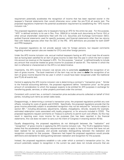requirement potentially accelerates the recognition of income that has been reported sooner in the taxpayer's financial statements than would otherwise occur under the pre-TCJA all events test. The proposed regulations implement the potential acceleration requirement by establishing the "AFS income inclusion rule."

The proposed regulations apply only to taxpayers having an AFS for the entire tax year. For this purpose, "AFS" is defined similarly to its use in Rev. Proc. 2004-34 to include such documents as Forms 10-K or other annual shareholder statements filed with the U.S. Securities and Exchange Commission (SEC); audited financial statements used for specific purposes; and financial statements other than tax returns filed with federal agencies other than the SEC or the IRS. AFS definitions are provided for both GAAP and IFRS taxpayers.

The proposed regulations do not provide special rules for foreign persons, but request comments regarding whether special rules are needed for CFCs and other foreign persons.

Under the AFS income inclusion rule, accrual method taxpayers having an AFS must treat the all events test as having been satisfied for an item of gross income no later than the year in which the item is taken into account as revenue on the taxpayer's AFS. For this purpose, "revenue" is defined broadly to include any amount that would be treated as gross income for purposes of section 61. The manner in which the item is reflected or characterized on the AFS is not determinative.

Importantly, the AFS income inclusion rule serves only to potentially **accelerate** the recognition of an item of gross income. The book treatment of the item may not be used to **defer** the recognition of an item of gross income beyond the tax year in which it would have been recognized under the traditional (pre-TCJA) all events test.

Central to applying the AFS income inclusion rule is determining a contract's "transaction price." Similar to the financial accounting definition, the proposed regulations define "transaction price" as the gross amount of consideration to which the taxpayer expects to be entitled for AFS purposes in exchange for transferring goods, services, or other property promised under the contract.

Consistent with current law, a contract's transaction price excludes amounts collected on behalf of third parties, including such items as certain sales taxes.

Disappointingly, in determining a contract's transaction price, the proposed regulations prohibit any cost offsets, including for costs of goods sold (COGS). Specifically, the proposed regulations provide that the gross income potentially subject to accelerated recognition may not be reduced for "amounts subject to section 461," including allowances, adjustments, rebates, chargebacks, refunds, rewards (for example, estimated redemption costs associated with loyalty programs), or for amounts included in COGS. The proposed regulations request comments on Treasury's authority to permit such cost offsets. As this may result in reporting even more income for tax purposes than has been reported in the financial statements, this rule does not seem to carry out the intent of Congress in enacting section 451(b).

Equally disappointing, the proposed regulations do not distinguish between the "realization" and "recognition" of gross income in applying the AFS income inclusion rule. The TCJA's legislative history states that the accelerated recognition requirement does not apply to items of income that have not yet been realized for tax purposes, and provide examples distinguishing between the realization and recognition concepts for that purpose. Observers had hoped the proposed regulations would provide definitions and standards for distinguishing between realization and recognition for this purpose.

Instead, the proposed regulations establish a rule under which a contract's transaction price (i.e., the amount potentially subject to recognition in the current tax year) does not include amounts that are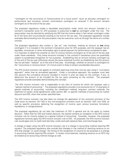"contingent on the occurrence or nonoccurrence of a future event" (such as bonuses contingent on performance and insurance contract commissions contingent on renewal) if the amount remains contingent as of the end of the tax year.

The proposed regulations create a rebuttable presumption under which any amount included in a contract's transaction price for AFS purposes is presumed to **not** be contingent under this rule. The presumption may be rebutted by satisfying the IRS that the income does in fact remain contingent under all of the facts and circumstances existing at the end of the tax year. The proposed regulations include examples demonstrating how the presumption may be overcome, such as through the terms of a written contract.

The proposed regulations also contain a "per se" rule, however, treating an amount as **not** being contingent if it is included in the contract's transaction price for AFS purposes, and the taxpayer has an equitable, contractual, or other enforceable right to partial payment for performance completed to date. It is important to determine whether an item of income remains contingent as of the end of the tax year under these standards. Only those amounts included in the contract's transaction price are potentially subject to accelerated recognition for tax purposes. Establishing that an amount remains contingent as of the end of the tax year effectively serves the same analytical function as establishing that the amount has not yet been "realized" as of the end of that year. Accordingly, whether an amount is contingent on the "occurrence or nonoccurrence" of a future event is likely to attract considerable discussion.

The AFS income inclusion rule applies to contracts spanning more than one tax year using a "cumulative approach" rather than an annualized approach. Under a cumulative approach, the taxpayer must take into account the cumulative amounts included in income in prior tax years on the contract, if any, to determine the amount to be included for the tax years remaining on the contract. The proposed regulations provide examples demonstrating this concept.

The AFS income inclusion rule is inapplicable to any item of income for which the taxpayer uses a "special method of accounting." The proposed regulations provide a non-exclusive list of 12 examples of special methods of accounting, including the installment method, long-term contract methods, the treatment of certain rental agreements under section 467, or specific methods of accounting for market discount and OID, other than certain specified fees.

The AFS income inclusion rule also does not change the application of any exclusion provision of the Code (such as sections 101-140) or any non-recognition provision (such as sections 1031 and 1033, as well as specific provisions deferring the recognition of income upon various business formations, liquidations, or reorganizations).

The proposed regulations do not alter the treatment of OID in general and do not apply to market discount. Other than for OID and market discount, the statute contains an exception to the AFS income inclusion rule for income subject to a special method of accounting. Favorably, however, the proposed regulations narrowly apply the AFS income inclusion rule to OID. As proposed, the AFS income inclusion rule would apply only to credit card late fees, credit card cash advance fees, and interchange fees.

A change to begin using the AFS income inclusion rule is a change in accounting method requiring IRS consent. The proposed regulations also provide that changes in the method of reporting revenue on an AFS that change "or could change" the timing of the recognition of income for tax purposes is a change in accounting method requiring IRS consent. In certain circumstances, restating revenue on an AFS may be treated as an accounting method change as well.

© 2019 KPMG LLP, a Delaware limited liability partnership and the U.S. member firm of the KPMG network of independent member firms affiliated with KPMG International Cooperative ("KPMG International"), a Swiss entity. All rights reserved. Printed in the U.S.A. The KPMG name and logo are registered trademarks or trademarks of KPMG International.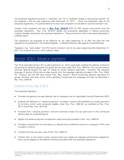The proposed regulations provide a "transition rule" for a "qualified change in accounting method" for the taxpayer's first tax year beginning after December 31, 2017. Given the publication date of the proposed regulations, it is questionable as to how many taxpayers will be able to use this transition rule.

Instead, most taxpayers will look to **[Rev. Proc. 2019-37](https://www.irs.gov/pub/irs-drop/rp-19-37.pdf)** [PDF 87 KB], issued concurrently with the proposed regulations. Rev. Proc. 2019-37 details the procedures applicable in making accounting method changes required by the proposed regulations. Those procedures will be discussed separately in a KPMG report.

The regulations are proposed to be effective for tax years beginning on or after the date the final regulations are published in the Federal Register. A delayed effective date applies to specified fees.

Taxpayers may "early adopt" the AFS income inclusion rule for tax years beginning after December 31, 2017, but must do so on an "all or nothing" basis.

# Section 451(c): Advance payments

The TCJA amended section 451 to add subsection (c), which essentially codified the deferral method of accounting for advance payments for goods and services under Rev. Proc. 2004-34. This rule permitted a one-year deferral beyond the year of receipt of certain advance payments. However, the statutory language of section 451(c) did not align exactly with the language originally provided in Rev. Proc. 2004- 34. Treasury and the IRS have issued Prop. Reg. section 1.451-8 concerning advance payments for goods, services, and other items, which generally incorporates the language and rules as described in Rev. Proc. 2004-34.

## Summary of Prop. Reg. §1.451-8

The proposed regulation:

- Provides the general one-year deferral rule for taxpayers with an Applicable Financial Statement (AFS)
- Expands the definition of "advance payment" provided in section 451(c)(4)(A)(iii) to include payments for all items which were previously eligible under Rev. Proc. 2004-34, as modified by Rev. Proc. 2011-18 and Rev. Proc. 2013-29
- Excludes from "advance payment" amounts received at least two tax years prior to the contractual delivery date for a specified good
- Applies the advance payment acceleration rules previously provided in Rev. Proc. 2004-34
- Provides a requirement for write-downs or adjustments to deferred revenue in a taxpayer's AFS to be included in income
- Includes the short tax year rules of Rev. Proc. 2004-34
- Clarifies that, to the extent certain reward points are treated as separate performance obligations, they may be eligible for the deferral methods provided under the proposed regulations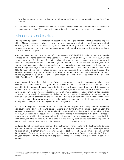- Provides a deferral method for taxpayers without an AFS similar to that provided under Rev. Proc. 2004-34
- Declines to provide an accelerated cost offset when advance payments are required to be included in income under section 451(c) prior to the completion of a sale of goods or provision of services

#### Explanation of proposed regulations

The proposed regulations—consistent with section 451(c)(1)(B)—provide that an accrual method taxpayer with an AFS who receives an advance payment may use a deferral method. Under the deferral method, the taxpayer must include the advance payment in income in the year of receipt to the extent that it is included in revenue in its AFS. Any remaining amount of the advance payment must be included in income in the next tax year.

Amounts treated as "advance payments" under section 451(c)(4)(A)(iii) include payments for goods, services, or other items identified by the Secretary. However, Section 4.01(3) of Rev. Proc. 2004-34 also included payments for the use of certain intellectual property, the occupancy or use of property if ancillary to the provision of services, certain payments related to computer software, certain guaranty or warranty contracts, subscriptions, memberships in an organization, or any combination of these items in the list of payments eligible to be treated as "advance payments." Rev. Proc. 2011-18 and Rev. Proc. 2013-29 modified this list to include advance payments received from eligible gift card sales. The proposed regulations expand the Code's list of advance payments eligible to use the deferral method to include payments for all of these items eligible under Rev. Proc. 2004-34, as modified by Rev. Proc. 2011-18 and Rev. Proc. 2013-29.

Newly excluded from the definition of "advance payments" under the proposed regulations are payments received at least two tax years prior to the contractual delivery date for a specified good. The preamble to the proposed regulations indicates that the Treasury Department and IRS believe an exclusion is appropriate for certain goods for which a taxpayer requires a customer to make an upfront payment and which require a considerable amount of time to produce. Goods meeting this exception include goods for which: (i) the contracted delivery month and year of the goods occurs at least two tax years after an upfront payment; (ii) the taxpayer does not have on hand goods of a substantially similar kind and quantity in the year payment is received to satisfy the contract; and (iii) all revenue from the sale of the goods is recognized in the taxpayer's AFS in the year of delivery.

Section 451(c)(3) prohibits the use of the deferral method with respect to advance payments received by a taxpayer during a tax year if such taxpayer ceases to exist during or with the close of such tax year. The proposed regulations include expanded acceleration rules identical to those previously provided in Rev. Proc. 2004-34, including the requirement that a taxpayer include in gross income in the tax year of receipt all payments with which the taxpayer's obligation with respect to the advance payment is satisfied. As such, taxpayers remain bound by the all events test and are only permitted to defer advance payments received to the extent the amount is not otherwise earned in the year of receipt.

Guidance did not previously exist regarding the treatment of financial statement adjustments to deferred revenue for amounts treated as advance payments. The proposed rules provide that if a taxpayer defers inclusion of all or a portion of advance payments under section 451(c)(1)(B) and Prop. Reg. §1.451-8(c), the remainder of the advance payment must be included in the taxpayer's gross income in the following tax year, regardless of any write-down or adjustment made to deferred revenue for financial statement purposes.

© 2019 KPMG LLP, a Delaware limited liability partnership and the U.S. member firm of the KPMG network of independent member firms affiliated with KPMG International Cooperative ("KPMG International"), a Swiss entity. All rights reserved. Printed in the U.S.A. The KPMG name and logo are registered trademarks or trademarks of KPMG International.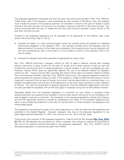The proposed regulations incorporate the short tax year rules previously provided in Rev. Proc. 2004-34. Under these rules, if the taxpayer's next succeeding tax year consists of 92 days or less, the taxpayer must include the portion of the advance payment not included in income in the year of receipt in gross income in the short tax year to the extent it is included in revenue in the AFS in that short tax year. Any amount remaining after the year of receipt and the short year must be included in gross income in the year after the short tax year.

Included in the proposed regulations are 25 examples of the application of the deferral rules under section 451(c) and Prop. Reg. §1.451-8.

- Example 22 relates to a retail rewards program when the rewards points are treated as a separate performance obligation in the taxpayer's AFS. The example provides that if the taxpayer uses the deferral method, the portion of the sales price allocated to the rewards points may be deferred until the next succeeding tax year, to the extent it is not included in income in the taxpayer's AFS in the year of receipt.
- Example 24 indicates that similar treatment is appropriate for airline miles.

Rev. Proc. 2004-34 permitted a taxpayer without an AFS to adopt a deferral method that included advance payments in gross income for the year of receipt to the extent earned in that tax year and included the remaining amount of advance payments in gross receipts in the next succeeding tax year. However, section 451(c) does not specifically address the use of the deferral method by taxpayers without an AFS. Treasury and the IRS concluded that section 451(c) does not prohibit a deferral method that is otherwise permissible under Rev. Proc. 2004-34, and as such, the proposed regulations adopt the earned standard for taxpayers without an AFS. If the taxpayer is unable to determine the extent to which a payment is earned in the tax year of receipt, the amount may be determined on a statistical basis, on a straight line ratable basis over the term of the agreement, or any other basis resulting in a clear reflection of income. The rules for acceleration of advance payments, financial statement adjustments, and short tax years provided for taxpayers with an AFS also apply to taxpayers using the non-AFS deferral method.

Noticeably absent from the proposed regulations is a provision for cost offsets in situations when advance payments are required to be included in income under section 451(c) prior to the completion of a sale of goods or provision of services. The preamble to the proposed regulations indicate that Treasury and the IRS specifically decline to provide an accelerated cost offset in the proposed regulations but seem to be considering exceptions in the case of manufacturers of certain property and taxpayers with inventoriable goods.

The regulations are proposed to apply to tax years beginning on or after the date the final regulations are published in the Federal Register. However, taxpayers may rely on the proposed regulations for tax years beginning after December 31, 2017, but must do so on an "all or nothing" basis.

Concurrently with issuance of the proposed regulations, Treasury and the IRS released **[Rev. Proc. 2019-](https://www.irs.gov/pub/irs-drop/rp-19-37.pdf) [37](https://www.irs.gov/pub/irs-drop/rp-19-37.pdf)** [PDF 87 KB] detailing the procedures by which a taxpayer may change its method of accounting to use one of the deferral methods described in the proposed regulations. Rev. Proc. 2019-37 will be discussed separately in a forthcoming report from KPMG.